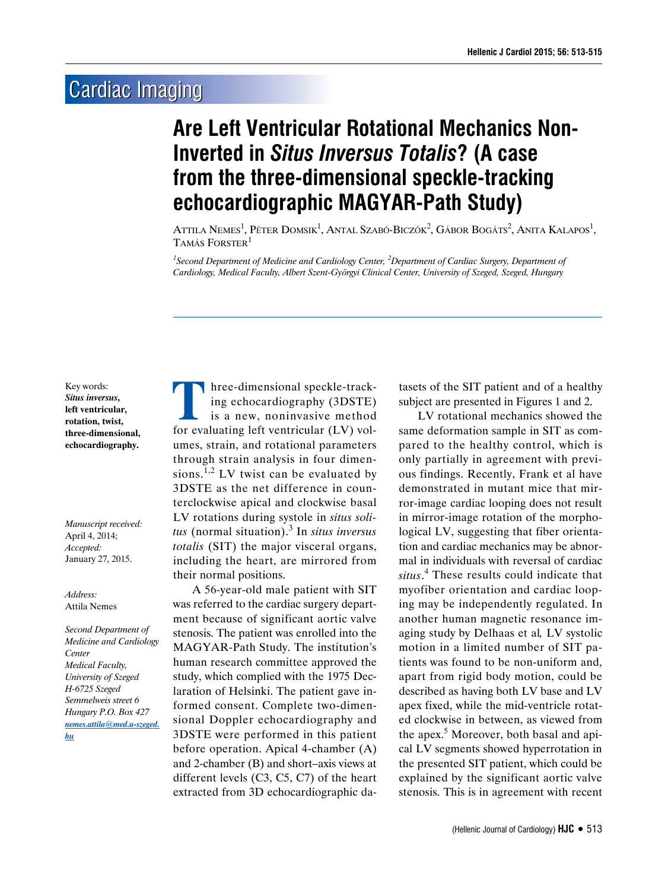## **Cardiac Imaging**

## **Are Left Ventricular Rotational Mechanics Non-Inverted in** *Situs Inversus Totalis***? (A case from the three-dimensional speckle-tracking echocardiographic MAGYAR-Path Study)**

Attila Nemes<sup>1</sup>, Péter Domsik<sup>1</sup>, Antal Szabó-Biczók<sup>2</sup>, Gábor Bogáts<sup>2</sup>, Anita Kalapos<sup>1</sup>, Tamás Forster $^1$ 

*1 Second Department of Medicine and Cardiology Center, 2 Department of Cardiac Surgery, Department of Cardiology, Medical Faculty, Albert Szent-Györgyi Clinical Center, University of Szeged, Szeged, Hungary*

Key words: *Situs inversus***, left ventricular, rotation, twist, three-dimensional, echocardiography.**

*Manuscript received:* April 4, 2014; *Accepted:* January 27, 2015.

## *Address:* Attila Nemes

*Second Department of Medicine and Cardiology Center Medical Faculty, University of Szeged H-6725 Szeged Semmelweis street 6 Hungary P.O. Box 427 nemes.attila@med.u-szeged. hu*

Three-dimensional speckle-track-<br>ing echocardiography (3DSTE)<br>is a new, noninvasive method<br>for evaluating left ventricular (LV) voling echocardiography (3DSTE) is a new, noninvasive method for evaluating left ventricular (LV) volumes, strain, and rotational parameters through strain analysis in four dimensions.<sup>1,2</sup> LV twist can be evaluated by 3DSTE as the net difference in counterclockwise apical and clockwise basal LV rotations during systole in *situs solitus* (normal situation).<sup>3</sup> In *situs inversus totalis* (SIT) the major visceral organs, including the heart, are mirrored from their normal positions.

A 56-year-old male patient with SIT was referred to the cardiac surgery department because of significant aortic valve stenosis. The patient was enrolled into the MAGYAR-Path Study. The institution's human research committee approved the study, which complied with the 1975 Declaration of Helsinki. The patient gave informed consent. Complete two-dimensional Doppler echocardiography and 3DSTE were performed in this patient before operation. Apical 4-chamber (A) and 2-chamber (B) and short–axis views at different levels (C3, C5, C7) of the heart extracted from 3D echocardiographic datasets of the SIT patient and of a healthy subject are presented in Figures 1 and 2.

LV rotational mechanics showed the same deformation sample in SIT as compared to the healthy control, which is only partially in agreement with previous findings. Recently, Frank et al have demonstrated in mutant mice that mirror-image cardiac looping does not result in mirror-image rotation of the morphological LV, suggesting that fiber orientation and cardiac mechanics may be abnormal in individuals with reversal of cardiac *situs*. 4 These results could indicate that myofiber orientation and cardiac looping may be independently regulated. In another human magnetic resonance imaging study by Delhaas et al*,* LV systolic motion in a limited number of SIT patients was found to be non-uniform and, apart from rigid body motion, could be described as having both LV base and LV apex fixed, while the mid-ventricle rotated clockwise in between, as viewed from the apex.<sup>5</sup> Moreover, both basal and apical LV segments showed hyperrotation in the presented SIT patient, which could be explained by the significant aortic valve stenosis. This is in agreement with recent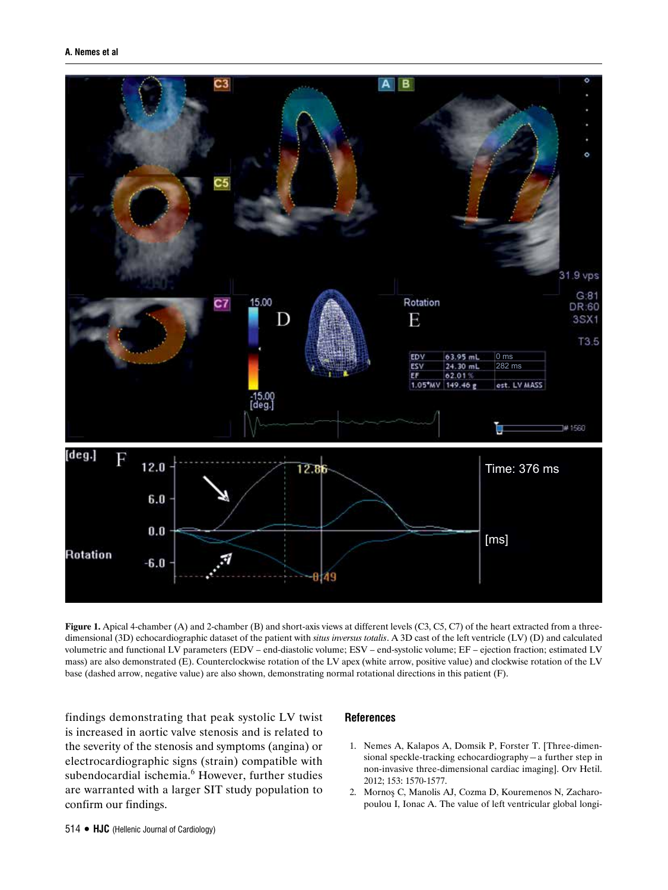

**Figure 1.** Apical 4-chamber (A) and 2-chamber (B) and short-axis views at different levels (C3, C5, C7) of the heart extracted from a threedimensional (3D) echocardiographic dataset of the patient with *situs inversus totalis*. A 3D cast of the left ventricle (LV) (D) and calculated volumetric and functional LV parameters (EDV – end-diastolic volume; ESV – end-systolic volume; EF – ejection fraction; estimated LV mass) are also demonstrated (E). Counterclockwise rotation of the LV apex (white arrow, positive value) and clockwise rotation of the LV base (dashed arrow, negative value) are also shown, demonstrating normal rotational directions in this patient (F).

findings demonstrating that peak systolic LV twist is increased in aortic valve stenosis and is related to the severity of the stenosis and symptoms (angina) or electrocardiographic signs (strain) compatible with subendocardial ischemia.<sup>6</sup> However, further studies are warranted with a larger SIT study population to confirm our findings.

## **References**

- 1. Nemes A, Kalapos A, Domsik P, Forster T. [Three-dimensional speckle-tracking echocardiography—a further step in non-invasive three-dimensional cardiac imaging]. Orv Hetil. 2012; 153: 1570-1577.
- 2. Mornoş C, Manolis AJ, Cozma D, Kouremenos N, Zacharopoulou I, Ionac A. The value of left ventricular global longi-